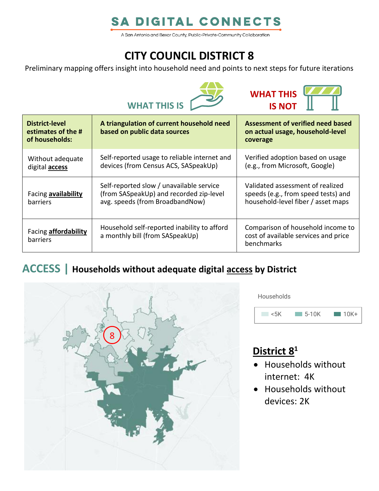# **SA DIGITAL CONNECTS**

A San Antonio and Bexar County, Public-Private-Community Collaboration

# **CITY COUNCIL DISTRICT 8**

Preliminary mapping offers insight into household need and points to next steps for future iterations





| District-level<br>estimates of the #<br>of households: | A triangulation of current household need<br>based on public data sources                                              | Assessment of verified need based<br>on actual usage, household-level<br>coverage                             |
|--------------------------------------------------------|------------------------------------------------------------------------------------------------------------------------|---------------------------------------------------------------------------------------------------------------|
| Without adequate<br>digital <b>access</b>              | Self-reported usage to reliable internet and<br>devices (from Census ACS, SASpeakUp)                                   | Verified adoption based on usage<br>(e.g., from Microsoft, Google)                                            |
| Facing availability<br>barriers                        | Self-reported slow / unavailable service<br>(from SASpeakUp) and recorded zip-level<br>avg. speeds (from BroadbandNow) | Validated assessment of realized<br>speeds (e.g., from speed tests) and<br>household-level fiber / asset maps |
| Facing <b>affordability</b><br>barriers                | Household self-reported inability to afford<br>a monthly bill (from SASpeakUp)                                         | Comparison of household income to<br>cost of available services and price<br>benchmarks                       |

### **ACCESS | Households without adequate digital access by District**



**Households** 



## **District 8 1**

- Households without internet: 4K
- Households without devices: 2K